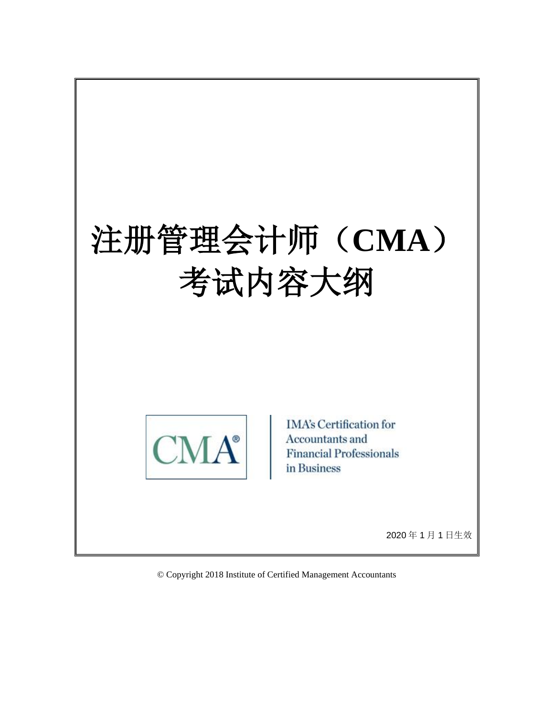# 注册管理会计师(**CMA**) 考试内容大纲



**IMA's Certification for** Accountants and **Financial Professionals** in Business

2020 年 1 月 1 日生效

© Copyright 2018 Institute of Certified Management Accountants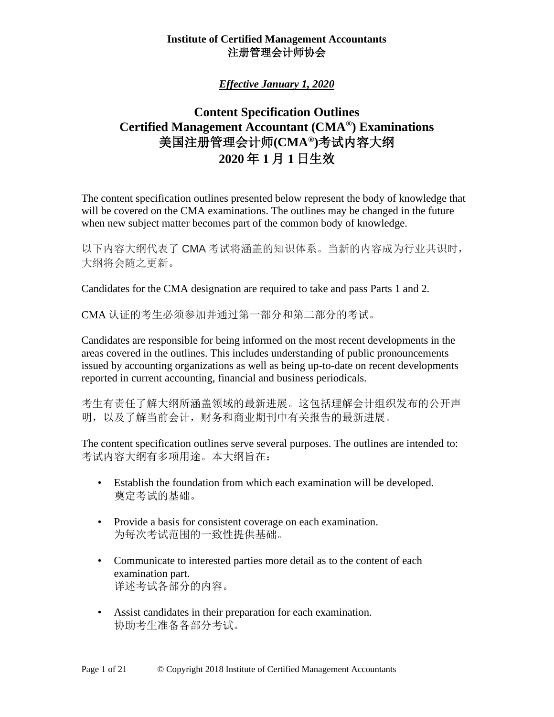# *Effective January 1, 2020*

# **Content Specification Outlines Certified Management Accountant (CMA®) Examinations** 美国注册管理会计师**(CMA®)**考试内容大纲 **2020** 年 **1** 月 **1** 日生效

The content specification outlines presented below represent the body of knowledge that will be covered on the CMA examinations. The outlines may be changed in the future when new subject matter becomes part of the common body of knowledge.

以下内容大纲代表了 CMA 考试将涵盖的知识体系。当新的内容成为行业共识时, 大纲将会随之更新。

Candidates for the CMA designation are required to take and pass Parts 1 and 2.

CMA 认证的考生必须参加并通过第一部分和第二部分的考试。

Candidates are responsible for being informed on the most recent developments in the areas covered in the outlines. This includes understanding of public pronouncements issued by accounting organizations as well as being up-to-date on recent developments reported in current accounting, financial and business periodicals.

考生有责任了解大纲所涵盖领域的最新进展。这包括理解会计组织发布的公开声 明,以及了解当前会计,财务和商业期刊中有关报告的最新进展。

The content specification outlines serve several purposes. The outlines are intended to: 考试内容大纲有多项用途。本大纲旨在:

- Establish the foundation from which each examination will be developed. 奠定考试的基础。
- Provide a basis for consistent coverage on each examination. 为每次考试范围的一致性提供基础。
- Communicate to interested parties more detail as to the content of each examination part. 详述考试各部分的内容。
- Assist candidates in their preparation for each examination. 协助考生准备各部分考试。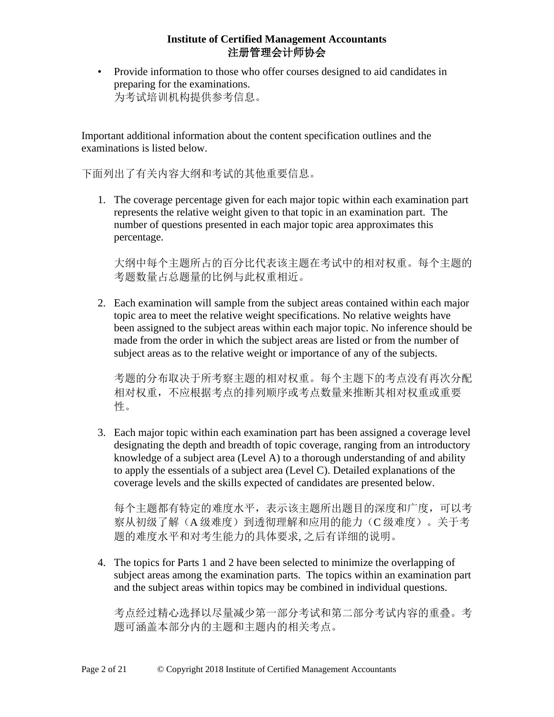• Provide information to those who offer courses designed to aid candidates in preparing for the examinations. 为考试培训机构提供参考信息。

Important additional information about the content specification outlines and the examinations is listed below.

下面列出了有关内容大纲和考试的其他重要信息。

1. The coverage percentage given for each major topic within each examination part represents the relative weight given to that topic in an examination part. The number of questions presented in each major topic area approximates this percentage.

大纲中每个主题所占的百分比代表该主题在考试中的相对权重。每个主题的 考题数量占总题量的比例与此权重相近。

2. Each examination will sample from the subject areas contained within each major topic area to meet the relative weight specifications. No relative weights have been assigned to the subject areas within each major topic. No inference should be made from the order in which the subject areas are listed or from the number of subject areas as to the relative weight or importance of any of the subjects.

考题的分布取决于所考察主题的相对权重。每个主题下的考点没有再次分配 相对权重,不应根据考点的排列顺序或考点数量来推断其相对权重或重要 性。

3. Each major topic within each examination part has been assigned a coverage level designating the depth and breadth of topic coverage, ranging from an introductory knowledge of a subject area (Level A) to a thorough understanding of and ability to apply the essentials of a subject area (Level C). Detailed explanations of the coverage levels and the skills expected of candidates are presented below.

每个主题都有特定的难度水平,表示该主题所出题目的深度和广度,可以考 察从初级了解(A 级难度)到透彻理解和应用的能力(C 级难度)。关于考 题的难度水平和对考生能力的具体要求, 之后有详细的说明。

4. The topics for Parts 1 and 2 have been selected to minimize the overlapping of subject areas among the examination parts. The topics within an examination part and the subject areas within topics may be combined in individual questions.

考点经过精心选择以尽量减少第一部分考试和第二部分考试内容的重叠。考 题可涵盖本部分内的主题和主题内的相关考点。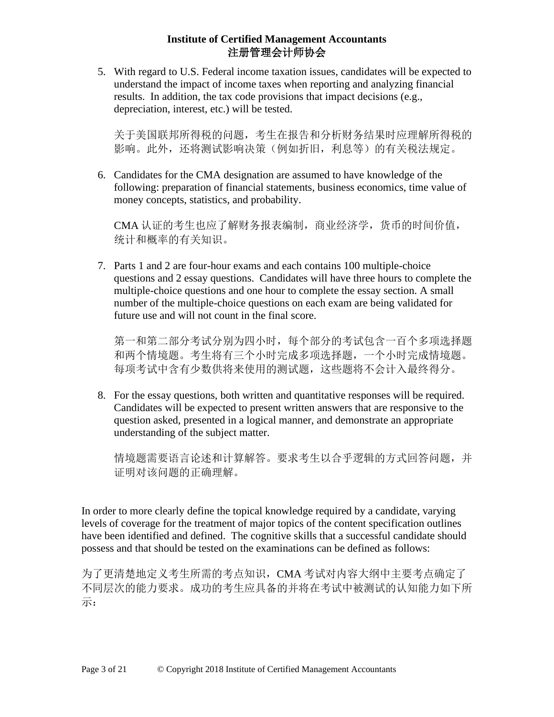5. With regard to U.S. Federal income taxation issues, candidates will be expected to understand the impact of income taxes when reporting and analyzing financial results. In addition, the tax code provisions that impact decisions (e.g., depreciation, interest, etc.) will be tested.

关于美国联邦所得税的问题,考生在报告和分析财务结果时应理解所得税的 影响。此外,还将测试影响决策(例如折旧,利息等)的有关税法规定。

6. Candidates for the CMA designation are assumed to have knowledge of the following: preparation of financial statements, business economics, time value of money concepts, statistics, and probability.

CMA 认证的考生也应了解财务报表编制,商业经济学,货币的时间价值, 统计和概率的有关知识。

7. Parts 1 and 2 are four-hour exams and each contains 100 multiple-choice questions and 2 essay questions. Candidates will have three hours to complete the multiple-choice questions and one hour to complete the essay section. A small number of the multiple-choice questions on each exam are being validated for future use and will not count in the final score.

第一和第二部分考试分别为四小时,每个部分的考试包含一百个多项选择题 和两个情境题。考生将有三个小时完成多项选择题,一个小时完成情境题。 每项考试中含有少数供将来使用的测试题,这些题将不会计入最终得分。

8. For the essay questions, both written and quantitative responses will be required. Candidates will be expected to present written answers that are responsive to the question asked, presented in a logical manner, and demonstrate an appropriate understanding of the subject matter.

情境题需要语言论述和计算解答。要求考生以合乎逻辑的方式回答问题,并 证明对该问题的正确理解。

In order to more clearly define the topical knowledge required by a candidate, varying levels of coverage for the treatment of major topics of the content specification outlines have been identified and defined. The cognitive skills that a successful candidate should possess and that should be tested on the examinations can be defined as follows:

为了更清楚地定义考生所需的考点知识,CMA 考试对内容大纲中主要考点确定了 不同层次的能力要求。成功的考生应具备的并将在考试中被测试的认知能力如下所 示: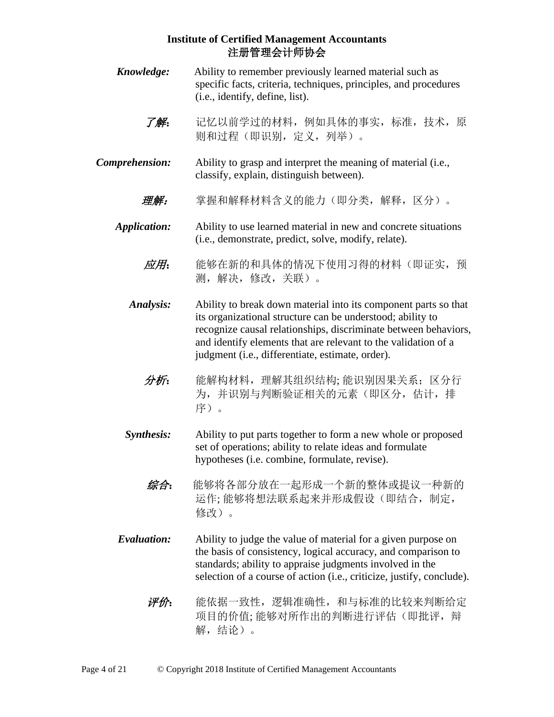*Knowledge:* Ability to remember previously learned material such as specific facts, criteria, techniques, principles, and procedures (i.e., identify, define, list). 了解:记忆以前学过的材料,例如具体的事实,标准,技术,原 则和过程(即识别,定义,列举)。 *Comprehension:* Ability to grasp and interpret the meaning of material (i.e., classify, explain, distinguish between). 理解:掌握和解释材料含义的能力(即分类,解释,区分)。 *Application:* Ability to use learned material in new and concrete situations (i.e., demonstrate, predict, solve, modify, relate). 应用:能够在新的和具体的情况下使用习得的材料(即证实,预 测,解决,修改,关联)。 *Analysis:* Ability to break down material into its component parts so that its organizational structure can be understood; ability to recognize causal relationships, discriminate between behaviors, and identify elements that are relevant to the validation of a judgment (i.e., differentiate, estimate, order). 分析:能解构材料,理解其组织结构; 能识别因果关系;区分行 为,并识别与判断验证相关的元素(即区分,估计,排 序)。 *Synthesis:* Ability to put parts together to form a new whole or proposed set of operations; ability to relate ideas and formulate hypotheses (i.e. combine, formulate, revise). 综合:能够将各部分放在一起形成一个新的整体或提议一种新的 运作; 能够将想法联系起来并形成假设(即结合, 制定, 修改)。 *Evaluation:* Ability to judge the value of material for a given purpose on the basis of consistency, logical accuracy, and comparison to standards; ability to appraise judgments involved in the selection of a course of action (i.e., criticize, justify, conclude). 评价:能依据一致性,逻辑准确性,和与标准的比较来判断给定 项目的价值; 能够对所作出的判断讲行评估(即批评,辩 解,结论)。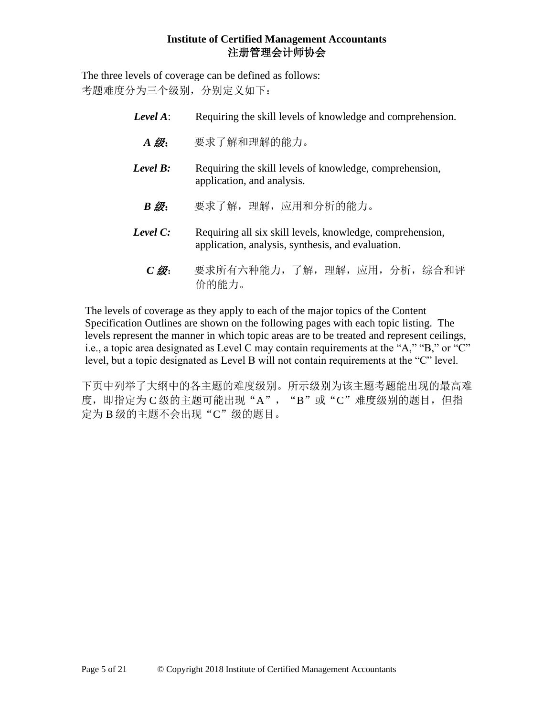The three levels of coverage can be defined as follows: 考题难度分为三个级别,分别定义如下:

| Level $A$ :        | Requiring the skill levels of knowledge and comprehension.                                                     |  |
|--------------------|----------------------------------------------------------------------------------------------------------------|--|
| $A \mathcal{B}'$ : | 要求了解和理解的能力。                                                                                                    |  |
| Level $B$ :        | Requiring the skill levels of knowledge, comprehension,<br>application, and analysis.                          |  |
| $B \mathcal{B}$ :  | 要求了解, 理解, 应用和分析的能力。                                                                                            |  |
| Level $C:$         | Requiring all six skill levels, knowledge, comprehension,<br>application, analysis, synthesis, and evaluation. |  |

 *C* 级: 要求所有六种能力,了解,理解,应用,分析,综合和评 价的能力。

The levels of coverage as they apply to each of the major topics of the Content Specification Outlines are shown on the following pages with each topic listing. The levels represent the manner in which topic areas are to be treated and represent ceilings, i.e., a topic area designated as Level C may contain requirements at the "A," "B," or "C" level, but a topic designated as Level B will not contain requirements at the "C" level.

下页中列举了大纲中的各主题的难度级别。所示级别为该主题考题能出现的最高难 度, 即指定为 C 级的主题可能出现"A", "B"或"C"难度级别的题目, 但指 定为 B 级的主题不会出现"C"级的题目。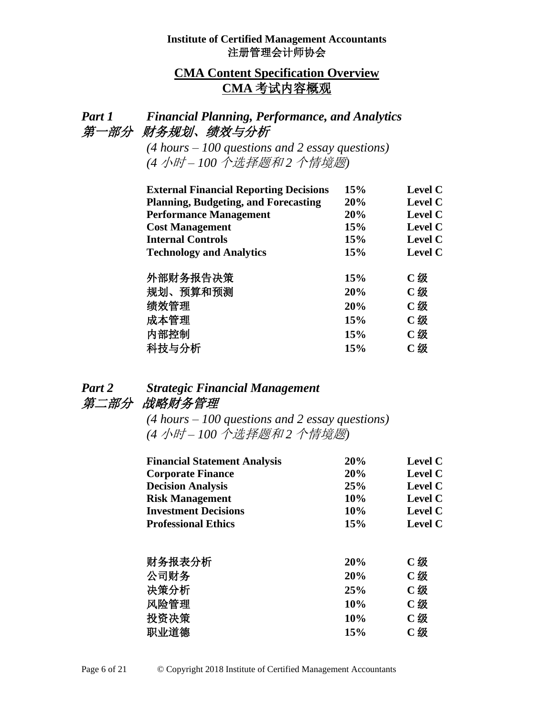# **CMA Content Specification Overview CMA** 考试内容概观

# *Part 1 Financial Planning, Performance, and Analytics* 第一部分财务规划、绩效与分析

*(4 hours – 100 questions and 2 essay questions) (4* 小时 *– 100* 个选择题和 *2* 个情境题*)*

| <b>External Financial Reporting Decisions</b> | 15% | <b>Level C</b> |
|-----------------------------------------------|-----|----------------|
| <b>Planning, Budgeting, and Forecasting</b>   | 20% | <b>Level C</b> |
| <b>Performance Management</b>                 | 20% | <b>Level C</b> |
| <b>Cost Management</b>                        | 15% | <b>Level C</b> |
| <b>Internal Controls</b>                      | 15% | <b>Level C</b> |
| <b>Technology and Analytics</b>               | 15% | <b>Level C</b> |
|                                               |     |                |
| 外部财务报告决策                                      | 15% | C级             |
| 规划、预算和预测                                      | 20% | C级             |
| 绩效管理                                          | 20% | $C$ 级          |
| 成本管理                                          | 15% | C级             |
| 内部控制                                          | 15% | C级             |
| 科技与分析                                         | 15% | C级             |

# *Part 2 Strategic Financial Management* 第二部分战略财务管理

*(4 hours – 100 questions and 2 essay questions) (4* 小时 *– 100* 个选择题和 *2* 个情境题*)*

| <b>Financial Statement Analysis</b> | 20% | <b>Level C</b> |
|-------------------------------------|-----|----------------|
| <b>Corporate Finance</b>            | 20% | <b>Level C</b> |
| <b>Decision Analysis</b>            | 25% | <b>Level C</b> |
| <b>Risk Management</b>              | 10% | <b>Level C</b> |
| <b>Investment Decisions</b>         | 10% | <b>Level C</b> |
| <b>Professional Ethics</b>          | 15% | <b>Level C</b> |
| 财务报表分析                              | 20% | C级             |
| 公司财务                                | 20% | C级             |
| 决策分析                                | 25% | C级             |
| 风险管理                                | 10% | C级             |
| 投资决策                                | 10% | C级             |
| 职业道德                                | 15% | C级             |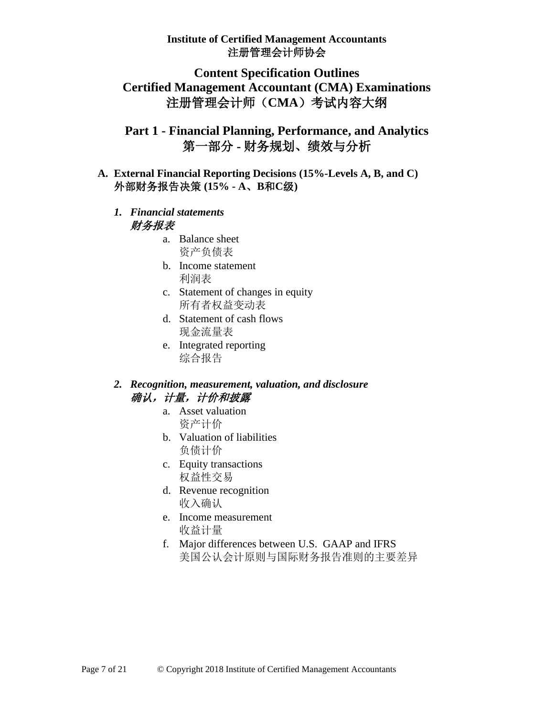# **Content Specification Outlines Certified Management Accountant (CMA) Examinations** 注册管理会计师(**CMA**)考试内容大纲

# **Part 1 - Financial Planning, Performance, and Analytics** 第一部分 **-** 财务规划、绩效与分析

- **A. External Financial Reporting Decisions (15%-Levels A, B, and C)** 外部财务报告决策 **(15% - A**、**B**和**C**级**)**
	- *1. Financial statements* 财务报表
		- a. Balance sheet 资产负债表
		- b. Income statement 利润表
		- c. Statement of changes in equity 所有者权益变动表
		- d. Statement of cash flows 现金流量表
		- e. Integrated reporting 综合报告

## *2. Recognition, measurement, valuation, and disclosure* 确认,计量,计价和披露

- a. Asset valuation 资产计价
- b. Valuation of liabilities 负债计价
- c. Equity transactions 权益性交易
- d. Revenue recognition 收入确认
- e. Income measurement 收益计量
- f. Major differences between U.S. GAAP and IFRS 美国公认会计原则与国际财务报告准则的主要差异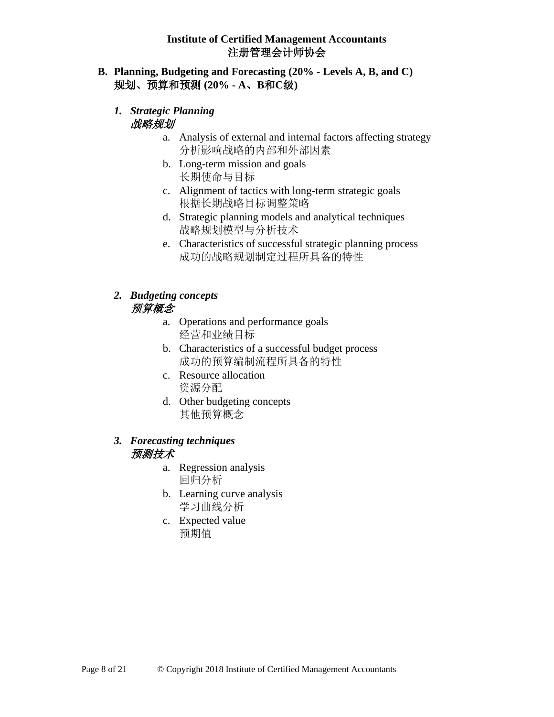- **B. Planning, Budgeting and Forecasting (20% - Levels A, B, and C)** 规划、预算和预测 **(20% - A**、**B**和**C**级**)**
	- *1. Strategic Planning* 战略规划
		- a. Analysis of external and internal factors affecting strategy 分析影响战略的内部和外部因素
		- b. Long-term mission and goals 长期使命与目标
		- c. Alignment of tactics with long-term strategic goals 根据长期战略目标调整策略
		- d. Strategic planning models and analytical techniques 战略规划模型与分析技术
		- e. Characteristics of successful strategic planning process 成功的战略规划制定过程所具备的特性

## *2. Budgeting concepts* 预算概念

- a. Operations and performance goals 经营和业绩目标
- b. Characteristics of a successful budget process 成功的预算编制流程所具备的特性
- c. Resource allocation 资源分配
- d. Other budgeting concepts 其他预算概念

# *3. Forecasting techniques* 预测技术

- a. Regression analysis 回归分析
- b. Learning curve analysis 学习曲线分析
- c. Expected value 预期值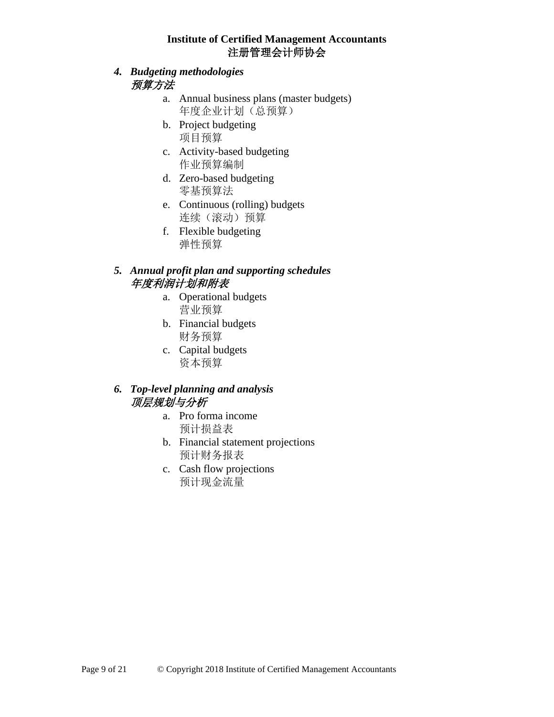- *4. Budgeting methodologies* 预算方法
	- a. Annual business plans (master budgets) 年度企业计划(总预算)
	- b. Project budgeting 项目预算
	- c. Activity-based budgeting 作业预算编制
	- d. Zero-based budgeting 零基预算法
	- e. Continuous (rolling) budgets 连续(滚动)预算
	- f. Flexible budgeting 弹性预算

# *5. Annual profit plan and supporting schedules* 年度利润计划和附表

- a. Operational budgets 营业预算
- b. Financial budgets 财务预算
- c. Capital budgets 资本预算

# *6. Top-level planning and analysis* 顶层规划与分析

- a. Pro forma income 预计损益表
- b. Financial statement projections 预计财务报表
- c. Cash flow projections 预计现金流量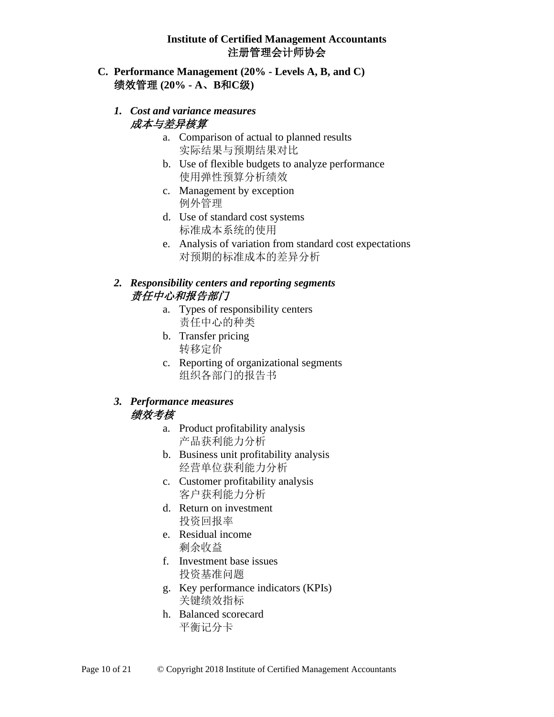#### **C. Performance Management (20% - Levels A, B, and C)** 绩效管理 **(20% - A**、**B**和**C**级**)**

#### *1. Cost and variance measures* 成本与差异核算

- a. Comparison of actual to planned results 实际结果与预期结果对比
- b. Use of flexible budgets to analyze performance 使用弹性预算分析绩效
- c. Management by exception 例外管理
- d. Use of standard cost systems 标准成本系统的使用
- e. Analysis of variation from standard cost expectations 对预期的标准成本的差异分析

### *2. Responsibility centers and reporting segments* 责任中心和报告部门

- a. Types of responsibility centers 责任中心的种类
- b. Transfer pricing 转移定价
- c. Reporting of organizational segments 组织各部门的报告书

#### *3. Performance measures* 绩效考核

- a. Product profitability analysis 产品获利能力分析
- b. Business unit profitability analysis 经营单位获利能力分析
- c. Customer profitability analysis 客户获利能力分析
- d. Return on investment 投资回报率
- e. Residual income 剩余收益
- f. Investment base issues 投资基准问题
- g. Key performance indicators (KPIs) 关键绩效指标
- h. Balanced scorecard 平衡记分卡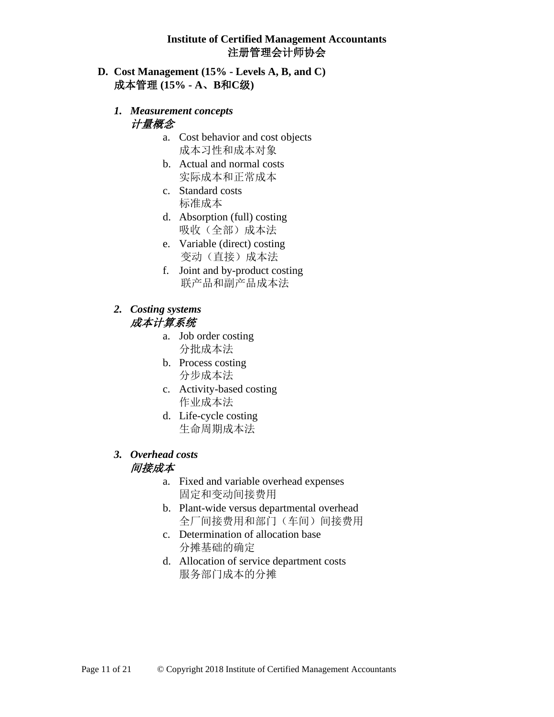- **D. Cost Management (15% - Levels A, B, and C)** 成本管理 **(15% - A**、**B**和**C**级**)**
	- *1. Measurement concepts* 计量概念
		- a. Cost behavior and cost objects 成本习性和成本对象
		- b. Actual and normal costs 实际成本和正常成本
		- c. Standard costs 标准成本
		- d. Absorption (full) costing 吸收(全部)成本法
		- e. Variable (direct) costing 变动(直接)成本法
		- f. Joint and by-product costing 联产品和副产品成本法
	- *2. Costing systems* 成本计算系统
		- a. Job order costing 分批成本法
		- b. Process costing 分步成本法
		- c. Activity-based costing 作业成本法
		- d. Life-cycle costing 生命周期成本法
	- *3. Overhead costs* 间接成本
		- a. Fixed and variable overhead expenses 固定和变动间接费用
		- b. Plant-wide versus departmental overhead 全厂间接费用和部门(车间)间接费用
		- c. Determination of allocation base 分摊基础的确定
		- d. Allocation of service department costs 服务部门成本的分摊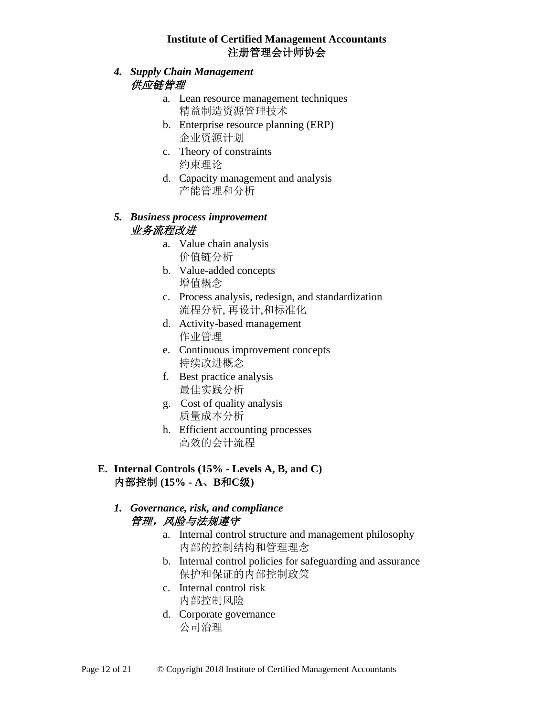### *4. Supply Chain Management*  供应链管理

- a. Lean resource management techniques 精益制造资源管理技术
- b. Enterprise resource planning (ERP) 企业资源计划
- c. Theory of constraints 约束理论
- d. Capacity management and analysis 产能管理和分析

### *5. Business process improvement* 业务流程改进

- a. Value chain analysis 价值链分析
- b. Value-added concepts 增值概念
- c. Process analysis, redesign, and standardization 流程分析, 再设计,和标准化
- d. Activity-based management 作业管理
- e. Continuous improvement concepts 持续改进概念
- f. Best practice analysis 最佳实践分析
- g. Cost of quality analysis 质量成本分析
- h. Efficient accounting processes 高效的会计流程

## **E. Internal Controls (15% - Levels A, B, and C)**  内部控制 **(15% - A**、**B**和**C**级**)**

# *1. Governance, risk, and compliance*  管理,风险与法规遵守

- a. Internal control structure and management philosophy 内部的控制结构和管理理念
- b. Internal control policies for safeguarding and assurance 保护和保证的内部控制政策
- c. Internal control risk 内部控制风险
- d. Corporate governance 公司治理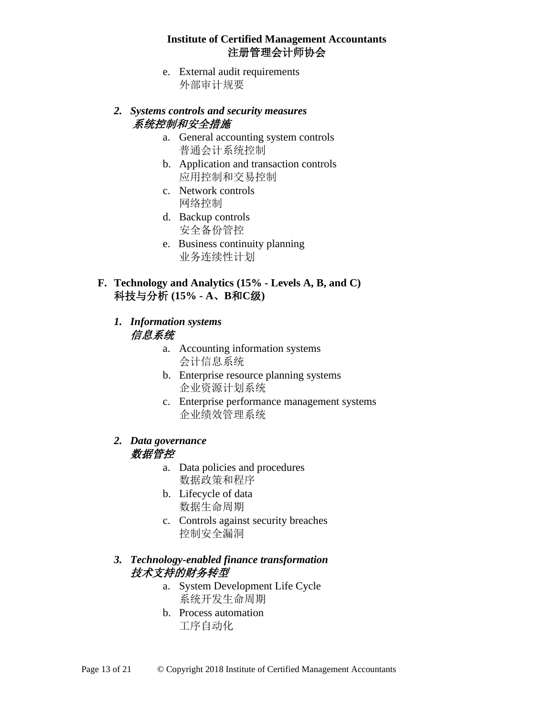e. External audit requirements 外部审计规要

#### *2. Systems controls and security measures* 系统控制和安全措施

- a. General accounting system controls 普通会计系统控制
- b. Application and transaction controls 应用控制和交易控制
- c. Network controls 网络控制
- d. Backup controls 安全备份管控
- e. Business continuity planning 业务连续性计划
- **F. Technology and Analytics (15% - Levels A, B, and C)** 科技与分析 **(15% - A**、**B**和**C**级**)**

## *1. Information systems* 信息系统

- a. Accounting information systems 会计信息系统
- b. Enterprise resource planning systems 企业资源计划系统
- c. Enterprise performance management systems 企业绩效管理系统

#### *2. Data governance* 数据管控

- a. Data policies and procedures 数据政策和程序
- b. Lifecycle of data 数据生命周期
- c. Controls against security breaches 控制安全漏洞

## *3. Technology-enabled finance transformation*  技术支持的财务转型

- a. System Development Life Cycle 系统开发生命周期
- b. Process automation 工序自动化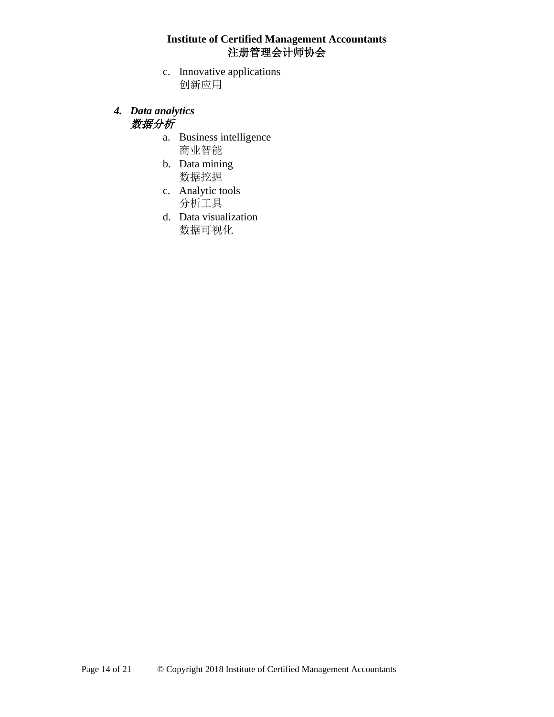- c. Innovative applications 创新应用
- *4. Data analytics* 数据分析
	- a. Business intelligence 商业智能
	- b. Data mining 数据挖掘
	- c. Analytic tools 分析工具
	- d. Data visualization 数据可视化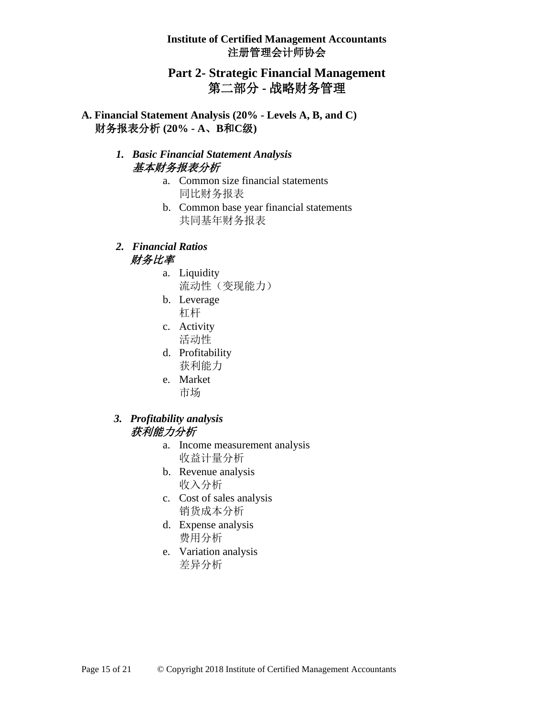# **Part 2- Strategic Financial Management** 第二部分 **-** 战略财务管理

**A. Financial Statement Analysis (20% - Levels A, B, and C)** 财务报表分析 **(20% - A**、**B**和**C**级**)**

#### *1. Basic Financial Statement Analysis* 基本财务报表分析

- a. Common size financial statements 同比财务报表
- b. Common base year financial statements 共同基年财务报表
- *2. Financial Ratios* 财务比率
	- a. Liquidity 流动性(变现能力)
	- b. Leverage 杠杆
	- c. Activity 活动性
	- d. Profitability 获利能力
	- e. Market 市场

#### *3. Profitability analysis* 获利能力分析

- a. Income measurement analysis 收益计量分析
- b. Revenue analysis 收入分析
- c. Cost of sales analysis 销货成本分析
- d. Expense analysis 费用分析
- e. Variation analysis 差异分析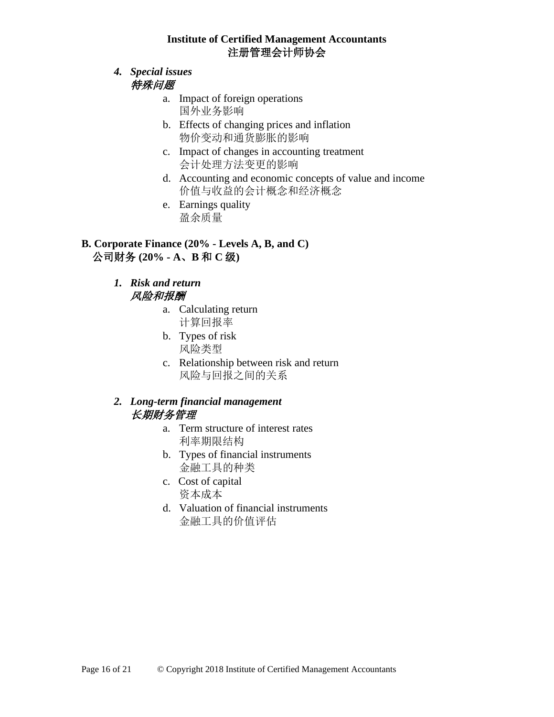- *4. Special issues*  特殊问题
	- a. Impact of foreign operations 国外业务影响
	- b. Effects of changing prices and inflation 物价变动和通货膨胀的影响
	- c. Impact of changes in accounting treatment 会计处理方法变更的影响
	- d. Accounting and economic concepts of value and income 价值与收益的会计概念和经济概念
	- e. Earnings quality 盈余质量

# **B. Corporate Finance (20% - Levels A, B, and C)** 公司财务 **(20% - A**、**B** 和 **C** 级**)**

#### *1. Risk and return* 风险和报酬

- a. Calculating return 计算回报率
- b. Types of risk 风险类型
- c. Relationship between risk and return 风险与回报之间的关系

# *2. Long-term financial management*  长期财务管理

- a. Term structure of interest rates 利率期限结构
- b. Types of financial instruments 金融工具的种类
- c. Cost of capital 资本成本
- d. Valuation of financial instruments 金融工具的价值评估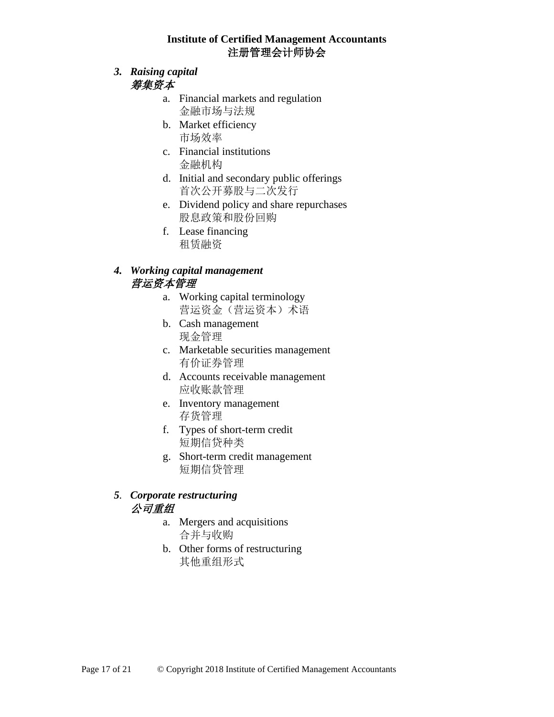- *3. Raising capital* 筹集资本
	- a. Financial markets and regulation 金融市场与法规
	- b. Market efficiency 市场效率
	- c. Financial institutions 金融机构
	- d. Initial and secondary public offerings 首次公开募股与二次发行
	- e. Dividend policy and share repurchases 股息政策和股份回购
	- f. Lease financing 租赁融资

# *4. Working capital management*  营运资本管理

- a. Working capital terminology 营运资金(营运资本)术语
- b. Cash management 现金管理
- c. Marketable securities management 有价证券管理
- d. Accounts receivable management 应收账款管理
- e. Inventory management 存货管理
- f. Types of short-term credit 短期信贷种类
- g. Short-term credit management 短期信贷管理

# *5. Corporate restructuring* 公司重组

- a. Mergers and acquisitions 合并与收购
- b. Other forms of restructuring 其他重组形式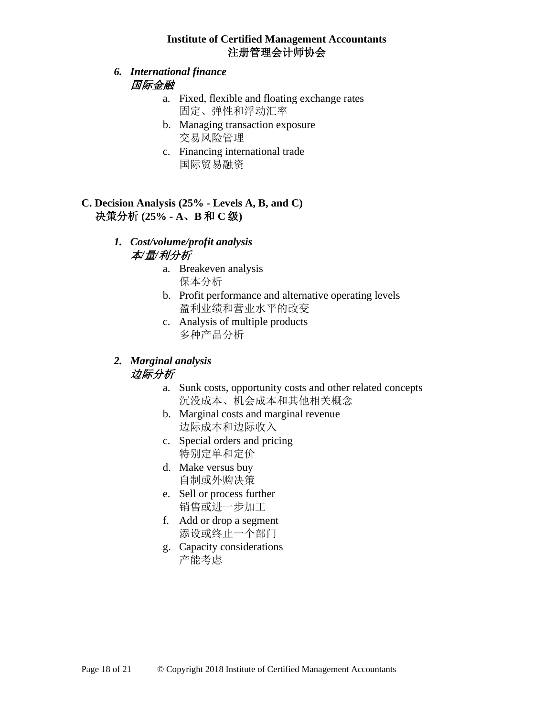### *6. International finance*  国际金融

- a. Fixed, flexible and floating exchange rates 固定、弹性和浮动汇率
- b. Managing transaction exposure 交易风险管理
- c. Financing international trade 国际贸易融资

# **C. Decision Analysis (25% - Levels A, B, and C)** 决策分析 **(25% - A**、**B** 和 **C** 级**)**

# *1. Cost/volume/profit analysis* 本*/*量*/*利分析

- a. Breakeven analysis 保本分析
- b. Profit performance and alternative operating levels 盈利业绩和营业水平的改变
- c. Analysis of multiple products 多种产品分析

# *2. Marginal analysis* 边际分析

- a. Sunk costs, opportunity costs and other related concepts 沉没成本、机会成本和其他相关概念
- b. Marginal costs and marginal revenue 边际成本和边际收入
- c. Special orders and pricing 特别定单和定价
- d. Make versus buy 自制或外购决策
- e. Sell or process further 销售或进一步加工
- f. Add or drop a segment 添设或终止一个部门
- g. Capacity considerations 产能考虑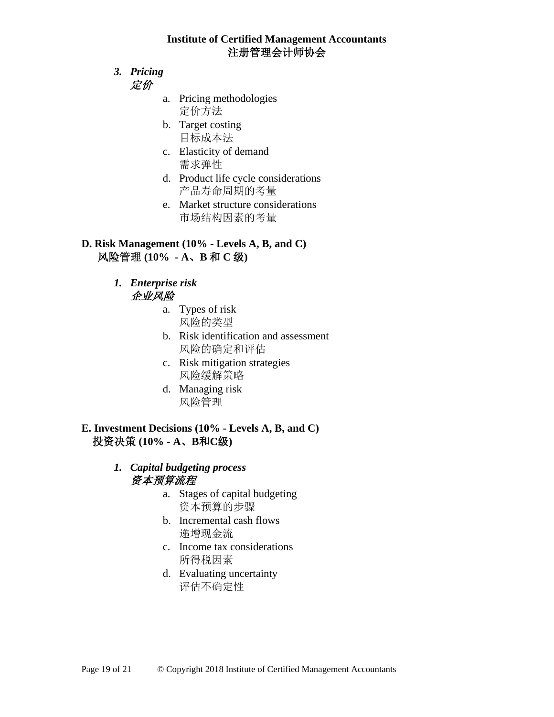- *3. Pricing* 定价
	- a. Pricing methodologies 定价方法
	- b. Target costing 目标成本法
	- c. Elasticity of demand 需求弹性
	- d. Product life cycle considerations 产品寿命周期的考量
	- e. Market structure considerations 市场结构因素的考量

### **D. Risk Management (10% - Levels A, B, and C)**  风险管理 **(10% - A**、**B** 和 **C** 级**)**

- *1. Enterprise risk*  企业风险
	- a. Types of risk 风险的类型
	- b. Risk identification and assessment 风险的确定和评估
	- c. Risk mitigation strategies 风险缓解策略
	- d. Managing risk 风险管理

# **E. Investment Decisions (10% - Levels A, B, and C)** 投资决策 **(10% - A**、**B**和**C**级**)**

## *1. Capital budgeting process* 资本预算流程

- a. Stages of capital budgeting 资本预算的步骤
- b. Incremental cash flows 递增现金流
- c. Income tax considerations 所得税因素
- d. Evaluating uncertainty 评估不确定性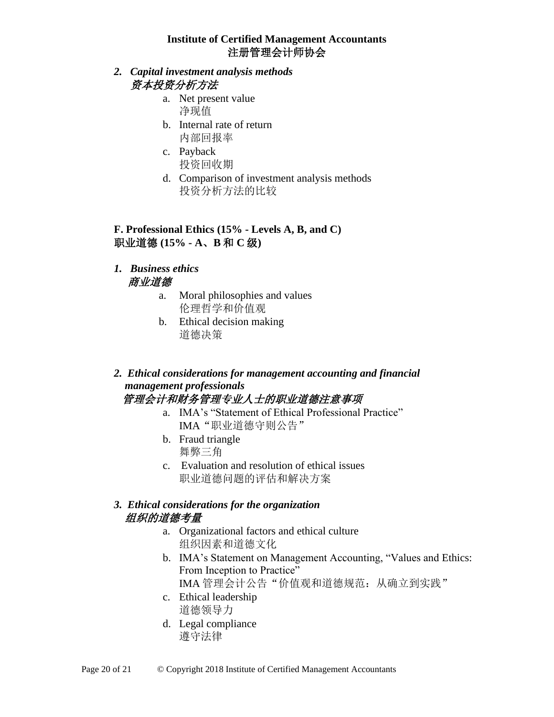## *2. Capital investment analysis methods* 资本投资分析方法

- a. Net present value 净现值
- b. Internal rate of return 内部回报率
- c. Payback 投资回收期
- d. Comparison of investment analysis methods 投资分析方法的比较

# **F. Professional Ethics (15% - Levels A, B, and C)** 职业道德 **(15% - A**、**B** 和 **C** 级**)**

- *1. Business ethics* 商业道德
	- a. Moral philosophies and values 伦理哲学和价值观
	- b. Ethical decision making 道德决策

#### *2. Ethical considerations for management accounting and financial management professionals* 管理会计和财务管理专业人士的职业道德注意事项

- a. IMA's "Statement of Ethical Professional Practice" IMA"职业道德守则公告"
- b. Fraud triangle 舞弊三角
- c. Evaluation and resolution of ethical issues 职业道德问题的评估和解决方案

# *3. Ethical considerations for the organization* 组织的道德考量

- a. Organizational factors and ethical culture 组织因素和道德文化
- b. IMA's Statement on Management Accounting, "Values and Ethics: From Inception to Practice" IMA 管理会计公告"价值观和道德规范: 从确立到实践"
- c. Ethical leadership 道德领导力
- d. Legal compliance 遵守法律